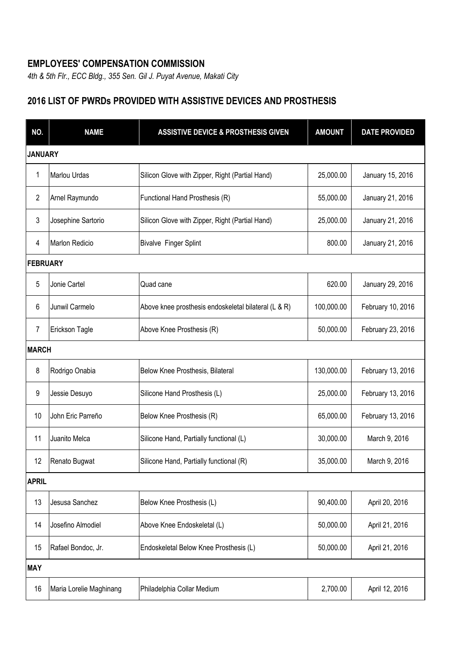## **EMPLOYEES' COMPENSATION COMMISSION**

*4th & 5th Flr., ECC Bldg., 355 Sen. Gil J. Puyat Avenue, Makati City*

## **2016 LIST OF PWRDs PROVIDED WITH ASSISTIVE DEVICES AND PROSTHESIS**

| NO.            | <b>NAME</b>             | <b>ASSISTIVE DEVICE &amp; PROSTHESIS GIVEN</b>       | <b>AMOUNT</b> | <b>DATE PROVIDED</b> |  |  |
|----------------|-------------------------|------------------------------------------------------|---------------|----------------------|--|--|
|                | <b>JANUARY</b>          |                                                      |               |                      |  |  |
| 1              | Marlou Urdas            | Silicon Glove with Zipper, Right (Partial Hand)      | 25,000.00     | January 15, 2016     |  |  |
| $\overline{2}$ | Arnel Raymundo          | Functional Hand Prosthesis (R)                       | 55,000.00     | January 21, 2016     |  |  |
| 3              | Josephine Sartorio      | Silicon Glove with Zipper, Right (Partial Hand)      | 25,000.00     | January 21, 2016     |  |  |
| 4              | <b>Marlon Redicio</b>   | <b>Bivalve Finger Splint</b>                         | 800.00        | January 21, 2016     |  |  |
|                | <b>FEBRUARY</b>         |                                                      |               |                      |  |  |
| 5              | Jonie Cartel            | Quad cane                                            | 620.00        | January 29, 2016     |  |  |
| 6              | Junwil Carmelo          | Above knee prosthesis endoskeletal bilateral (L & R) | 100,000.00    | February 10, 2016    |  |  |
| 7              | Erickson Tagle          | Above Knee Prosthesis (R)                            | 50,000.00     | February 23, 2016    |  |  |
|                | <b>MARCH</b>            |                                                      |               |                      |  |  |
| 8              | Rodrigo Onabia          | Below Knee Prosthesis, Bilateral                     | 130,000.00    | February 13, 2016    |  |  |
| 9              | Jessie Desuyo           | Silicone Hand Prosthesis (L)                         | 25,000.00     | February 13, 2016    |  |  |
| 10             | John Eric Parreño       | Below Knee Prosthesis (R)                            | 65,000.00     | February 13, 2016    |  |  |
| 11             | Juanito Melca           | Silicone Hand, Partially functional (L)              | 30,000.00     | March 9, 2016        |  |  |
| 12             | Renato Bugwat           | Silicone Hand, Partially functional (R)              | 35,000.00     | March 9, 2016        |  |  |
| <b>APRIL</b>   |                         |                                                      |               |                      |  |  |
| 13             | Jesusa Sanchez          | Below Knee Prosthesis (L)                            | 90,400.00     | April 20, 2016       |  |  |
| 14             | Josefino Almodiel       | Above Knee Endoskeletal (L)                          | 50,000.00     | April 21, 2016       |  |  |
| 15             | Rafael Bondoc, Jr.      | Endoskeletal Below Knee Prosthesis (L)               | 50,000.00     | April 21, 2016       |  |  |
| <b>MAY</b>     |                         |                                                      |               |                      |  |  |
| 16             | Maria Lorelie Maghinang | Philadelphia Collar Medium                           | 2,700.00      | April 12, 2016       |  |  |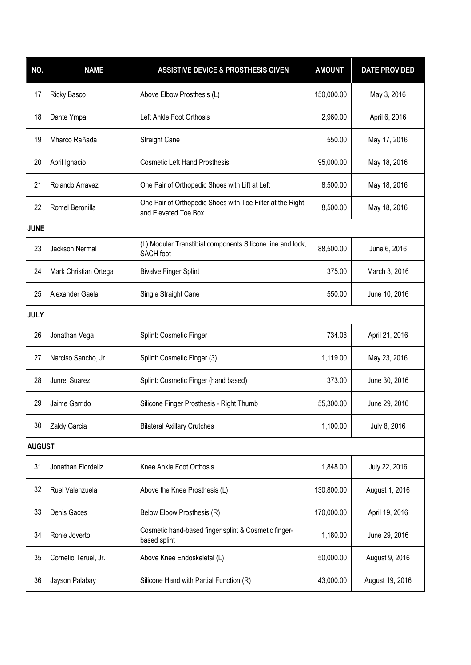| NO.           | <b>NAME</b>           | <b>ASSISTIVE DEVICE &amp; PROSTHESIS GIVEN</b>                                    | <b>AMOUNT</b> | <b>DATE PROVIDED</b> |  |
|---------------|-----------------------|-----------------------------------------------------------------------------------|---------------|----------------------|--|
| 17            | Ricky Basco           | Above Elbow Prosthesis (L)                                                        | 150,000.00    | May 3, 2016          |  |
| 18            | Dante Ympal           | Left Ankle Foot Orthosis                                                          | 2,960.00      | April 6, 2016        |  |
| 19            | Mharco Rañada         | <b>Straight Cane</b>                                                              | 550.00        | May 17, 2016         |  |
| 20            | April Ignacio         | <b>Cosmetic Left Hand Prosthesis</b>                                              | 95,000.00     | May 18, 2016         |  |
| 21            | Rolando Arravez       | One Pair of Orthopedic Shoes with Lift at Left                                    | 8,500.00      | May 18, 2016         |  |
| 22            | Romel Beronilla       | One Pair of Orthopedic Shoes with Toe Filter at the Right<br>and Elevated Toe Box | 8,500.00      | May 18, 2016         |  |
| <b>JUNE</b>   |                       |                                                                                   |               |                      |  |
| 23            | <b>Jackson Nermal</b> | (L) Modular Transtibial components Silicone line and lock,<br><b>SACH</b> foot    | 88,500.00     | June 6, 2016         |  |
| 24            | Mark Christian Ortega | <b>Bivalve Finger Splint</b>                                                      | 375.00        | March 3, 2016        |  |
| 25            | Alexander Gaela       | Single Straight Cane                                                              | 550.00        | June 10, 2016        |  |
| <b>JULY</b>   |                       |                                                                                   |               |                      |  |
| 26            | Jonathan Vega         | Splint: Cosmetic Finger                                                           | 734.08        | April 21, 2016       |  |
| 27            | Narciso Sancho, Jr.   | Splint: Cosmetic Finger (3)                                                       | 1,119.00      | May 23, 2016         |  |
| 28            | Junrel Suarez         | Splint: Cosmetic Finger (hand based)                                              | 373.00        | June 30, 2016        |  |
| 29            | Jaime Garrido         | Silicone Finger Prosthesis - Right Thumb                                          | 55,300.00     | June 29, 2016        |  |
| 30            | Zaldy Garcia          | <b>Bilateral Axillary Crutches</b>                                                | 1,100.00      | July 8, 2016         |  |
| <b>AUGUST</b> |                       |                                                                                   |               |                      |  |
| 31            | Jonathan Flordeliz    | Knee Ankle Foot Orthosis                                                          | 1,848.00      | July 22, 2016        |  |
| 32            | Ruel Valenzuela       | Above the Knee Prosthesis (L)                                                     | 130,800.00    | August 1, 2016       |  |
| 33            | Denis Gaces           | Below Elbow Prosthesis (R)                                                        | 170,000.00    | April 19, 2016       |  |
| 34            | Ronie Joverto         | Cosmetic hand-based finger splint & Cosmetic finger-<br>based splint              | 1,180.00      | June 29, 2016        |  |
| 35            | Cornelio Teruel, Jr.  | Above Knee Endoskeletal (L)                                                       | 50,000.00     | August 9, 2016       |  |
| 36            | Jayson Palabay        | Silicone Hand with Partial Function (R)                                           | 43,000.00     | August 19, 2016      |  |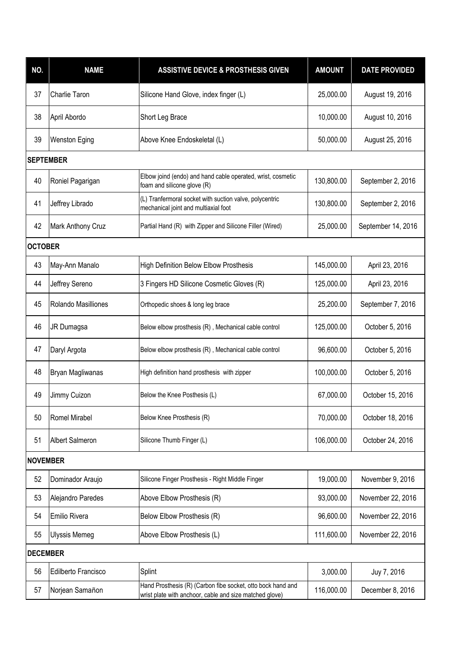| NO.              | <b>NAME</b>            | <b>ASSISTIVE DEVICE &amp; PROSTHESIS GIVEN</b>                                                                         | <b>AMOUNT</b> | <b>DATE PROVIDED</b> |  |
|------------------|------------------------|------------------------------------------------------------------------------------------------------------------------|---------------|----------------------|--|
| 37               | Charlie Taron          | Silicone Hand Glove, index finger (L)                                                                                  | 25,000.00     | August 19, 2016      |  |
| 38               | April Abordo           | Short Leg Brace                                                                                                        | 10,000.00     | August 10, 2016      |  |
| 39               | <b>Wenston Eging</b>   | Above Knee Endoskeletal (L)                                                                                            | 50,000.00     | August 25, 2016      |  |
| <b>SEPTEMBER</b> |                        |                                                                                                                        |               |                      |  |
| 40               | Roniel Pagarigan       | Elbow joind (endo) and hand cable operated, wrist, cosmetic<br>foam and silicone glove (R)                             | 130,800.00    | September 2, 2016    |  |
| 41               | Jeffrey Librado        | (L) Tranfermoral socket with suction valve, polycentric<br>mechanical joint and multiaxial foot                        | 130,800.00    | September 2, 2016    |  |
| 42               | Mark Anthony Cruz      | Partial Hand (R) with Zipper and Silicone Filler (Wired)                                                               | 25,000.00     | September 14, 2016   |  |
| <b>OCTOBER</b>   |                        |                                                                                                                        |               |                      |  |
| 43               | May-Ann Manalo         | High Definition Below Elbow Prosthesis                                                                                 | 145,000.00    | April 23, 2016       |  |
| 44               | Jeffrey Sereno         | 3 Fingers HD Silicone Cosmetic Gloves (R)                                                                              | 125,000.00    | April 23, 2016       |  |
| 45               | Rolando Masilliones    | Orthopedic shoes & long leg brace                                                                                      | 25,200.00     | September 7, 2016    |  |
| 46               | JR Dumagsa             | Below elbow prosthesis (R), Mechanical cable control                                                                   | 125,000.00    | October 5, 2016      |  |
| 47               | Daryl Argota           | Below elbow prosthesis (R), Mechanical cable control                                                                   | 96,600.00     | October 5, 2016      |  |
| 48               | Bryan Magliwanas       | High definition hand prosthesis with zipper                                                                            | 100,000.00    | October 5, 2016      |  |
| 49               | Jimmy Cuizon           | Below the Knee Posthesis (L)                                                                                           | 67,000.00     | October 15, 2016     |  |
| 50               | Romel Mirabel          | Below Knee Prosthesis (R)                                                                                              | 70,000.00     | October 18, 2016     |  |
| 51               | <b>Albert Salmeron</b> | Silicone Thumb Finger (L)                                                                                              | 106,000.00    | October 24, 2016     |  |
| <b>NOVEMBER</b>  |                        |                                                                                                                        |               |                      |  |
| 52               | Dominador Araujo       | Silicone Finger Prosthesis - Right Middle Finger                                                                       | 19,000.00     | November 9, 2016     |  |
| 53               | Alejandro Paredes      | Above Elbow Prosthesis (R)                                                                                             | 93,000.00     | November 22, 2016    |  |
| 54               | Emilio Rivera          | Below Elbow Prosthesis (R)                                                                                             | 96,600.00     | November 22, 2016    |  |
| 55               | <b>Ulyssis Memeg</b>   | Above Elbow Prosthesis (L)                                                                                             | 111,600.00    | November 22, 2016    |  |
| <b>DECEMBER</b>  |                        |                                                                                                                        |               |                      |  |
| 56               | Edilberto Francisco    | Splint                                                                                                                 | 3,000.00      | Juy 7, 2016          |  |
| 57               | Norjean Samañon        | Hand Prosthesis (R) (Carbon fibe socket, otto bock hand and<br>wrist plate with anchoor, cable and size matched glove) | 116,000.00    | December 8, 2016     |  |